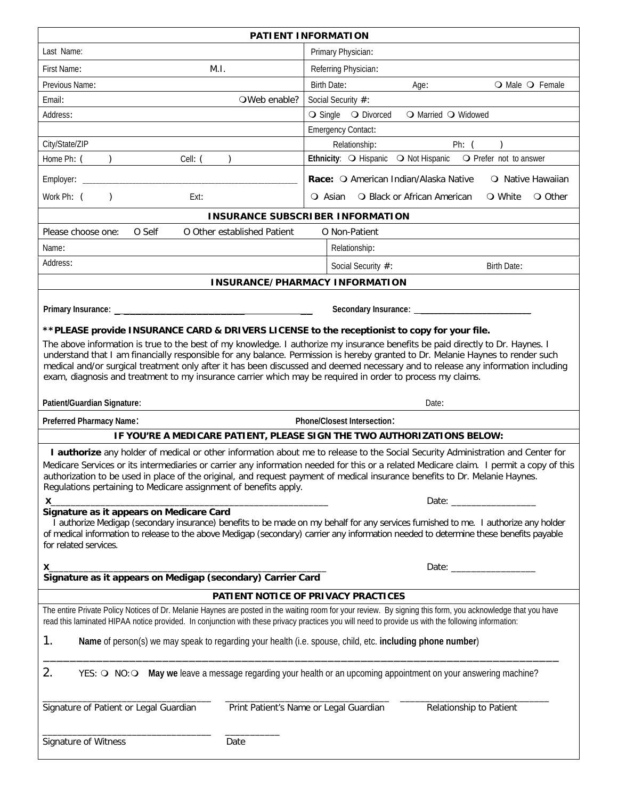| PATIENT INFORMATION                                                                                                                                                                                                                                                                                                                                                                                                                                                                                                 |                                                                                                                                                                                                                                |  |  |  |  |  |  |  |  |  |  |  |
|---------------------------------------------------------------------------------------------------------------------------------------------------------------------------------------------------------------------------------------------------------------------------------------------------------------------------------------------------------------------------------------------------------------------------------------------------------------------------------------------------------------------|--------------------------------------------------------------------------------------------------------------------------------------------------------------------------------------------------------------------------------|--|--|--|--|--|--|--|--|--|--|--|
| Last Name:                                                                                                                                                                                                                                                                                                                                                                                                                                                                                                          | Primary Physician:                                                                                                                                                                                                             |  |  |  |  |  |  |  |  |  |  |  |
| First Name:<br>M.I.                                                                                                                                                                                                                                                                                                                                                                                                                                                                                                 | Referring Physician:                                                                                                                                                                                                           |  |  |  |  |  |  |  |  |  |  |  |
| Previous Name:                                                                                                                                                                                                                                                                                                                                                                                                                                                                                                      | <b>Birth Date:</b><br>O Male O Female<br>Age:                                                                                                                                                                                  |  |  |  |  |  |  |  |  |  |  |  |
| Email:<br>OWeb enable?                                                                                                                                                                                                                                                                                                                                                                                                                                                                                              | Social Security #:                                                                                                                                                                                                             |  |  |  |  |  |  |  |  |  |  |  |
| Address:                                                                                                                                                                                                                                                                                                                                                                                                                                                                                                            | ○ Single ○ Divorced<br>○ Married ○ Widowed                                                                                                                                                                                     |  |  |  |  |  |  |  |  |  |  |  |
|                                                                                                                                                                                                                                                                                                                                                                                                                                                                                                                     | <b>Emergency Contact:</b>                                                                                                                                                                                                      |  |  |  |  |  |  |  |  |  |  |  |
| City/State/ZIP                                                                                                                                                                                                                                                                                                                                                                                                                                                                                                      | Relationship:<br>Ph: (                                                                                                                                                                                                         |  |  |  |  |  |  |  |  |  |  |  |
| Home Ph: (<br>Cell: (                                                                                                                                                                                                                                                                                                                                                                                                                                                                                               | Ethnicity: O Hispanic O Not Hispanic O Prefer not to answer                                                                                                                                                                    |  |  |  |  |  |  |  |  |  |  |  |
| Employer:                                                                                                                                                                                                                                                                                                                                                                                                                                                                                                           | Race: O American Indian/Alaska Native<br>O Native Hawaiian                                                                                                                                                                     |  |  |  |  |  |  |  |  |  |  |  |
| Work Ph: (<br>Ext:<br>$\lambda$                                                                                                                                                                                                                                                                                                                                                                                                                                                                                     | <b>Q</b> Black or African American<br>○ White<br>O Other<br>○ Asian                                                                                                                                                            |  |  |  |  |  |  |  |  |  |  |  |
| <b>INSURANCE SUBSCRIBER INFORMATION</b>                                                                                                                                                                                                                                                                                                                                                                                                                                                                             |                                                                                                                                                                                                                                |  |  |  |  |  |  |  |  |  |  |  |
| Please choose one:<br>O Self<br>O Other established Patient                                                                                                                                                                                                                                                                                                                                                                                                                                                         | O Non-Patient                                                                                                                                                                                                                  |  |  |  |  |  |  |  |  |  |  |  |
| Name:                                                                                                                                                                                                                                                                                                                                                                                                                                                                                                               | Relationship:                                                                                                                                                                                                                  |  |  |  |  |  |  |  |  |  |  |  |
| Address:                                                                                                                                                                                                                                                                                                                                                                                                                                                                                                            | Social Security #:<br>Birth Date:                                                                                                                                                                                              |  |  |  |  |  |  |  |  |  |  |  |
| <b>INSURANCE/PHARMACY INFORMATION</b>                                                                                                                                                                                                                                                                                                                                                                                                                                                                               |                                                                                                                                                                                                                                |  |  |  |  |  |  |  |  |  |  |  |
|                                                                                                                                                                                                                                                                                                                                                                                                                                                                                                                     |                                                                                                                                                                                                                                |  |  |  |  |  |  |  |  |  |  |  |
| Primary Insurance: ____                                                                                                                                                                                                                                                                                                                                                                                                                                                                                             | Secondary Insurance: _                                                                                                                                                                                                         |  |  |  |  |  |  |  |  |  |  |  |
| ** PLEASE provide INSURANCE CARD & DRIVERS LICENSE to the receptionist to copy for your file.                                                                                                                                                                                                                                                                                                                                                                                                                       |                                                                                                                                                                                                                                |  |  |  |  |  |  |  |  |  |  |  |
| The above information is true to the best of my knowledge. I authorize my insurance benefits be paid directly to Dr. Haynes. I<br>understand that I am financially responsible for any balance. Permission is hereby granted to Dr. Melanie Haynes to render such<br>medical and/or surgical treatment only after it has been discussed and deemed necessary and to release any information including<br>exam, diagnosis and treatment to my insurance carrier which may be required in order to process my claims. |                                                                                                                                                                                                                                |  |  |  |  |  |  |  |  |  |  |  |
| Patient/Guardian Signature:                                                                                                                                                                                                                                                                                                                                                                                                                                                                                         | Date:                                                                                                                                                                                                                          |  |  |  |  |  |  |  |  |  |  |  |
| Preferred Pharmacy Name:                                                                                                                                                                                                                                                                                                                                                                                                                                                                                            | Phone/Closest Intersection:                                                                                                                                                                                                    |  |  |  |  |  |  |  |  |  |  |  |
|                                                                                                                                                                                                                                                                                                                                                                                                                                                                                                                     | IF YOU'RE A MEDICARE PATIENT, PLEASE SIGN THE TWO AUTHORIZATIONS BELOW:                                                                                                                                                        |  |  |  |  |  |  |  |  |  |  |  |
| I authorize any holder of medical or other information about me to release to the Social Security Administration and Center for<br>Medicare Services or its intermediaries or carrier any information needed for this or a related Medicare claim. I permit a copy of this<br>authorization to be used in place of the original, and request payment of medical insurance benefits to Dr. Melanie Haynes.<br>Regulations pertaining to Medicare assignment of benefits apply.                                       |                                                                                                                                                                                                                                |  |  |  |  |  |  |  |  |  |  |  |
| X.                                                                                                                                                                                                                                                                                                                                                                                                                                                                                                                  | Date: _________                                                                                                                                                                                                                |  |  |  |  |  |  |  |  |  |  |  |
| Signature as it appears on Medicare Card                                                                                                                                                                                                                                                                                                                                                                                                                                                                            |                                                                                                                                                                                                                                |  |  |  |  |  |  |  |  |  |  |  |
| of medical information to release to the above Medigap (secondary) carrier any information needed to determine these benefits payable<br>for related services.                                                                                                                                                                                                                                                                                                                                                      | I authorize Medigap (secondary insurance) benefits to be made on my behalf for any services furnished to me. I authorize any holder                                                                                            |  |  |  |  |  |  |  |  |  |  |  |
| Х_                                                                                                                                                                                                                                                                                                                                                                                                                                                                                                                  | Date: the contract of the contract of the contract of the contract of the contract of the contract of the contract of the contract of the contract of the contract of the contract of the contract of the contract of the cont |  |  |  |  |  |  |  |  |  |  |  |
|                                                                                                                                                                                                                                                                                                                                                                                                                                                                                                                     |                                                                                                                                                                                                                                |  |  |  |  |  |  |  |  |  |  |  |
|                                                                                                                                                                                                                                                                                                                                                                                                                                                                                                                     | <b>PATIENT NOTICE OF PRIVACY PRACTICES</b>                                                                                                                                                                                     |  |  |  |  |  |  |  |  |  |  |  |
| The entire Private Policy Notices of Dr. Melanie Haynes are posted in the waiting room for your review. By signing this form, you acknowledge that you have<br>read this laminated HIPAA notice provided. In conjunction with these privacy practices you will need to provide us with the following information:                                                                                                                                                                                                   |                                                                                                                                                                                                                                |  |  |  |  |  |  |  |  |  |  |  |
| 1.<br>Name of person(s) we may speak to regarding your health (i.e. spouse, child, etc. including phone number)                                                                                                                                                                                                                                                                                                                                                                                                     |                                                                                                                                                                                                                                |  |  |  |  |  |  |  |  |  |  |  |
| 2.                                                                                                                                                                                                                                                                                                                                                                                                                                                                                                                  | YES: O NO: O May we leave a message regarding your health or an upcoming appointment on your answering machine?                                                                                                                |  |  |  |  |  |  |  |  |  |  |  |
| Signature of Patient or Legal Guardian                                                                                                                                                                                                                                                                                                                                                                                                                                                                              | Print Patient's Name or Legal Guardian<br>Relationship to Patient                                                                                                                                                              |  |  |  |  |  |  |  |  |  |  |  |